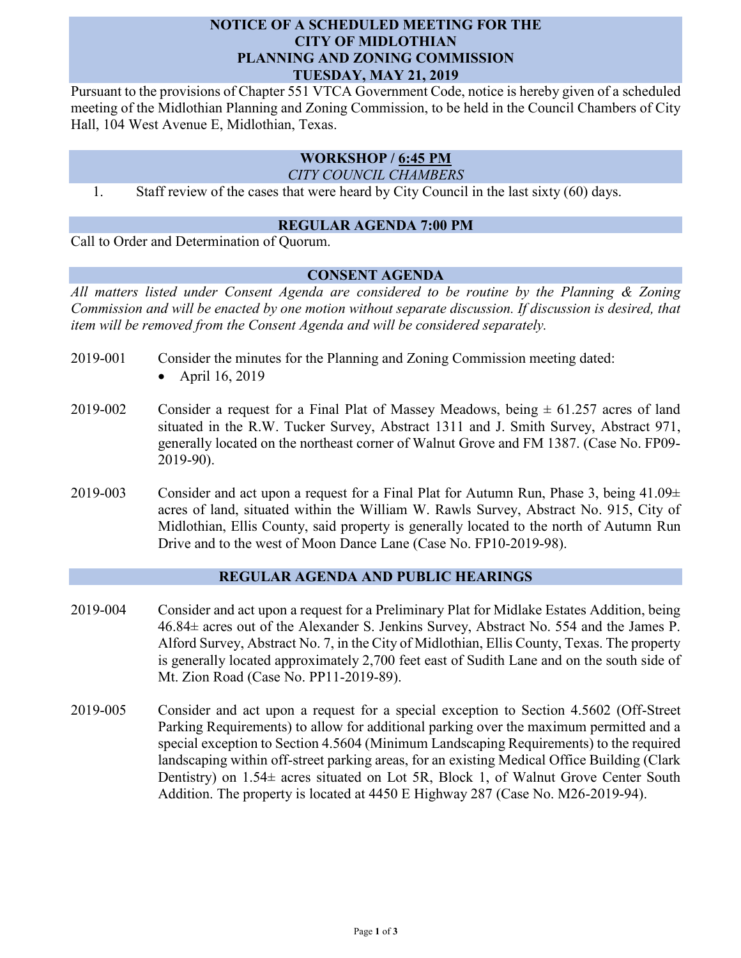## **NOTICE OF A SCHEDULED MEETING FOR THE CITY OF MIDLOTHIAN PLANNING AND ZONING COMMISSION TUESDAY, MAY 21, 2019**

Pursuant to the provisions of Chapter 551 VTCA Government Code, notice is hereby given of a scheduled meeting of the Midlothian Planning and Zoning Commission, to be held in the Council Chambers of City Hall, 104 West Avenue E, Midlothian, Texas.

# **WORKSHOP / 6:45 PM**

*CITY COUNCIL CHAMBERS*

1. Staff review of the cases that were heard by City Council in the last sixty (60) days.

### **REGULAR AGENDA 7:00 PM**

Call to Order and Determination of Quorum.

2019-90).

## **CONSENT AGENDA**

*All matters listed under Consent Agenda are considered to be routine by the Planning & Zoning Commission and will be enacted by one motion without separate discussion. If discussion is desired, that item will be removed from the Consent Agenda and will be considered separately.*

- 2019-001 Consider the minutes for the Planning and Zoning Commission meeting dated: • April 16, 2019
- 2019-002 Consider a request for a Final Plat of Massey Meadows, being  $\pm$  61.257 acres of land situated in the R.W. Tucker Survey, Abstract 1311 and J. Smith Survey, Abstract 971, generally located on the northeast corner of Walnut Grove and FM 1387. (Case No. FP09-
	- 2019-003 Consider and act upon a request for a Final Plat for Autumn Run, Phase 3, being  $41.09\pm$ acres of land, situated within the William W. Rawls Survey, Abstract No. 915, City of Midlothian, Ellis County, said property is generally located to the north of Autumn Run Drive and to the west of Moon Dance Lane (Case No. FP10-2019-98).

#### **REGULAR AGENDA AND PUBLIC HEARINGS**

- 2019-004 Consider and act upon a request for a Preliminary Plat for Midlake Estates Addition, being 46.84± acres out of the Alexander S. Jenkins Survey, Abstract No. 554 and the James P. Alford Survey, Abstract No. 7, in the City of Midlothian, Ellis County, Texas. The property is generally located approximately 2,700 feet east of Sudith Lane and on the south side of Mt. Zion Road (Case No. PP11-2019-89).
- 2019-005 Consider and act upon a request for a special exception to Section 4.5602 (Off-Street Parking Requirements) to allow for additional parking over the maximum permitted and a special exception to Section 4.5604 (Minimum Landscaping Requirements) to the required landscaping within off-street parking areas, for an existing Medical Office Building (Clark Dentistry) on  $1.54\pm$  acres situated on Lot 5R, Block 1, of Walnut Grove Center South Addition. The property is located at 4450 E Highway 287 (Case No. M26-2019-94).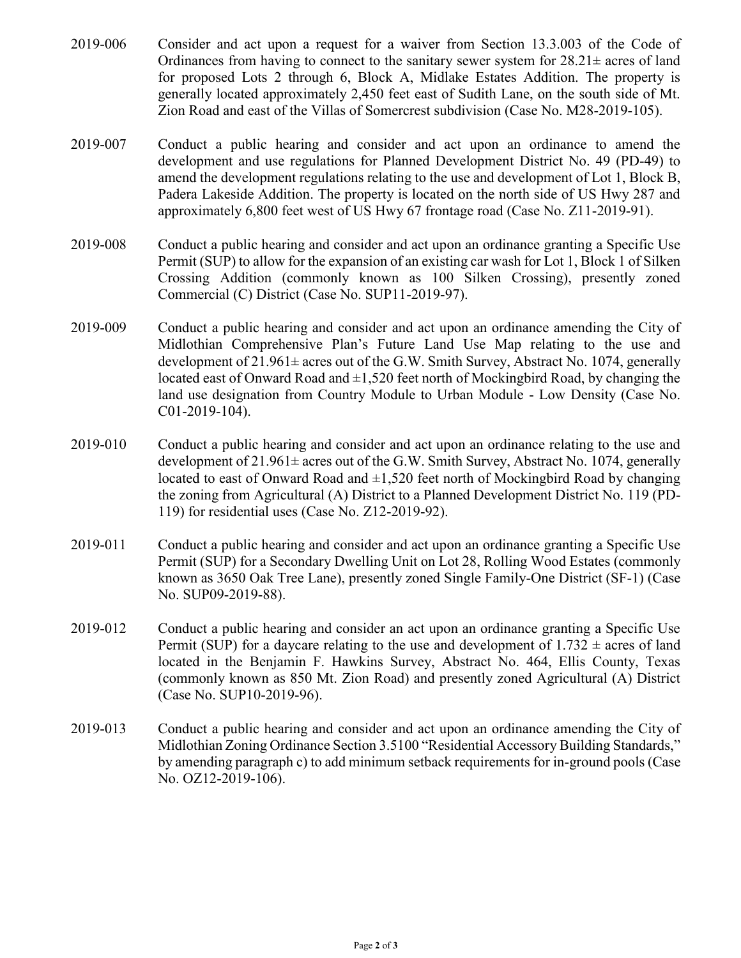- 2019-006 Consider and act upon a request for a waiver from Section 13.3.003 of the Code of Ordinances from having to connect to the sanitary sewer system for  $28.21 \pm \text{ acres of land}$ for proposed Lots 2 through 6, Block A, Midlake Estates Addition. The property is generally located approximately 2,450 feet east of Sudith Lane, on the south side of Mt. Zion Road and east of the Villas of Somercrest subdivision (Case No. M28-2019-105).
- 2019-007 Conduct a public hearing and consider and act upon an ordinance to amend the development and use regulations for Planned Development District No. 49 (PD-49) to amend the development regulations relating to the use and development of Lot 1, Block B, Padera Lakeside Addition. The property is located on the north side of US Hwy 287 and approximately 6,800 feet west of US Hwy 67 frontage road (Case No. Z11-2019-91).
- 2019-008 Conduct a public hearing and consider and act upon an ordinance granting a Specific Use Permit (SUP) to allow for the expansion of an existing car wash for Lot 1, Block 1 of Silken Crossing Addition (commonly known as 100 Silken Crossing), presently zoned Commercial (C) District (Case No. SUP11-2019-97).
- 2019-009 Conduct a public hearing and consider and act upon an ordinance amending the City of Midlothian Comprehensive Plan's Future Land Use Map relating to the use and development of 21.961± acres out of the G.W. Smith Survey, Abstract No. 1074, generally located east of Onward Road and  $\pm 1,520$  feet north of Mockingbird Road, by changing the land use designation from Country Module to Urban Module - Low Density (Case No. C01-2019-104).
- 2019-010 Conduct a public hearing and consider and act upon an ordinance relating to the use and development of 21.961± acres out of the G.W. Smith Survey, Abstract No. 1074, generally located to east of Onward Road and  $\pm 1,520$  feet north of Mockingbird Road by changing the zoning from Agricultural (A) District to a Planned Development District No. 119 (PD-119) for residential uses (Case No. Z12-2019-92).
- 2019-011 Conduct a public hearing and consider and act upon an ordinance granting a Specific Use Permit (SUP) for a Secondary Dwelling Unit on Lot 28, Rolling Wood Estates (commonly known as 3650 Oak Tree Lane), presently zoned Single Family-One District (SF-1) (Case No. SUP09-2019-88).
- 2019-012 Conduct a public hearing and consider an act upon an ordinance granting a Specific Use Permit (SUP) for a daycare relating to the use and development of  $1.732 \pm \text{acres}$  of land located in the Benjamin F. Hawkins Survey, Abstract No. 464, Ellis County, Texas (commonly known as 850 Mt. Zion Road) and presently zoned Agricultural (A) District (Case No. SUP10-2019-96).
- 2019-013 Conduct a public hearing and consider and act upon an ordinance amending the City of Midlothian Zoning Ordinance Section 3.5100 "Residential Accessory Building Standards," by amending paragraph c) to add minimum setback requirements for in-ground pools (Case No. OZ12-2019-106).